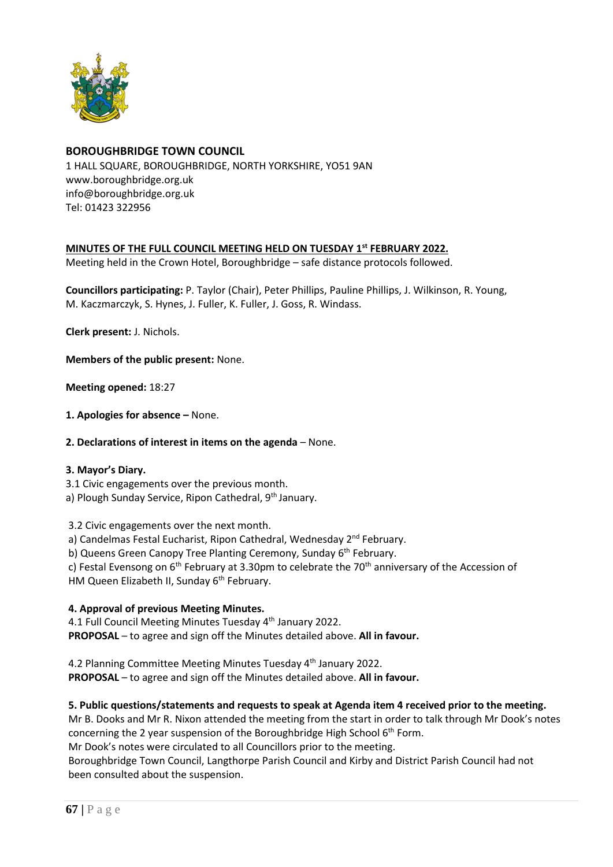

# **BOROUGHBRIDGE TOWN COUNCIL**

1 HALL SQUARE, BOROUGHBRIDGE, NORTH YORKSHIRE, YO51 9AN [www.boroughbridge.org.uk](http://www.boroughbridge.org.uk/) [info@boroughbridge.org.uk](mailto:info@boroughbridge.org.uk) Tel: 01423 322956

# **MINUTES OF THE FULL COUNCIL MEETING HELD ON TUESDAY 1st FEBRUARY 2022.**

Meeting held in the Crown Hotel, Boroughbridge – safe distance protocols followed.

**Councillors participating:** P. Taylor (Chair), Peter Phillips, Pauline Phillips, J. Wilkinson, R. Young, M. Kaczmarczyk, S. Hynes, J. Fuller, K. Fuller, J. Goss, R. Windass.

**Clerk present:** J. Nichols.

**Members of the public present:** None.

**Meeting opened:** 18:27

**1. Apologies for absence –** None.

**2. Declarations of interest in items on the agenda** – None.

#### **3. Mayor's Diary.**

3.1 Civic engagements over the previous month.

a) Plough Sunday Service, Ripon Cathedral, 9<sup>th</sup> January.

3.2 Civic engagements over the next month.

a) Candelmas Festal Eucharist, Ripon Cathedral, Wednesday 2<sup>nd</sup> February.

b) Queens Green Canopy Tree Planting Ceremony, Sunday 6<sup>th</sup> February.

c) Festal Evensong on  $6<sup>th</sup>$  February at 3.30pm to celebrate the 70<sup>th</sup> anniversary of the Accession of HM Queen Elizabeth II, Sunday 6<sup>th</sup> February.

# **4. Approval of previous Meeting Minutes.**

4.1 Full Council Meeting Minutes Tuesday 4<sup>th</sup> January 2022. **PROPOSAL** – to agree and sign off the Minutes detailed above. **All in favour.**

4.2 Planning Committee Meeting Minutes Tuesday 4<sup>th</sup> January 2022. **PROPOSAL** – to agree and sign off the Minutes detailed above. **All in favour.**

# **5. Public questions/statements and requests to speak at Agenda item 4 received prior to the meeting.**

Mr B. Dooks and Mr R. Nixon attended the meeting from the start in order to talk through Mr Dook's notes concerning the 2 year suspension of the Boroughbridge High School 6<sup>th</sup> Form.

Mr Dook's notes were circulated to all Councillors prior to the meeting.

Boroughbridge Town Council, Langthorpe Parish Council and Kirby and District Parish Council had not been consulted about the suspension.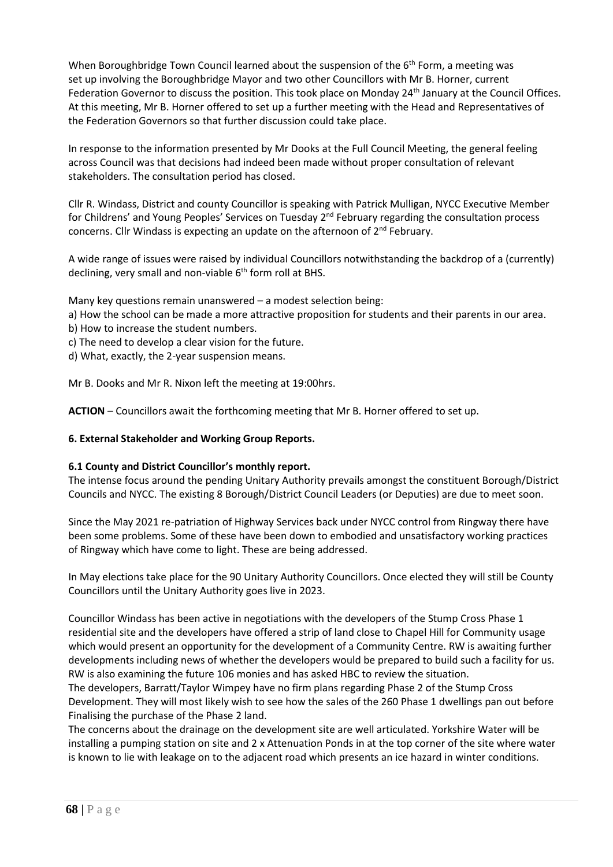When Boroughbridge Town Council learned about the suspension of the 6<sup>th</sup> Form, a meeting was set up involving the Boroughbridge Mayor and two other Councillors with Mr B. Horner, current Federation Governor to discuss the position. This took place on Monday 24<sup>th</sup> January at the Council Offices. At this meeting, Mr B. Horner offered to set up a further meeting with the Head and Representatives of the Federation Governors so that further discussion could take place.

In response to the information presented by Mr Dooks at the Full Council Meeting, the general feeling across Council was that decisions had indeed been made without proper consultation of relevant stakeholders. The consultation period has closed.

Cllr R. Windass, District and county Councillor is speaking with Patrick Mulligan, NYCC Executive Member for Childrens' and Young Peoples' Services on Tuesday 2nd February regarding the consultation process concerns. Cllr Windass is expecting an update on the afternoon of 2nd February.

A wide range of issues were raised by individual Councillors notwithstanding the backdrop of a (currently) declining, very small and non-viable 6<sup>th</sup> form roll at BHS.

Many key questions remain unanswered – a modest selection being:

- a) How the school can be made a more attractive proposition for students and their parents in our area.
- b) How to increase the student numbers.
- c) The need to develop a clear vision for the future.
- d) What, exactly, the 2-year suspension means.

Mr B. Dooks and Mr R. Nixon left the meeting at 19:00hrs.

**ACTION** – Councillors await the forthcoming meeting that Mr B. Horner offered to set up.

#### **6. External Stakeholder and Working Group Reports.**

#### **6.1 County and District Councillor's monthly report.**

The intense focus around the pending Unitary Authority prevails amongst the constituent Borough/District Councils and NYCC. The existing 8 Borough/District Council Leaders (or Deputies) are due to meet soon.

Since the May 2021 re-patriation of Highway Services back under NYCC control from Ringway there have been some problems. Some of these have been down to embodied and unsatisfactory working practices of Ringway which have come to light. These are being addressed.

In May elections take place for the 90 Unitary Authority Councillors. Once elected they will still be County Councillors until the Unitary Authority goes live in 2023.

Councillor Windass has been active in negotiations with the developers of the Stump Cross Phase 1 residential site and the developers have offered a strip of land close to Chapel Hill for Community usage which would present an opportunity for the development of a Community Centre. RW is awaiting further developments including news of whether the developers would be prepared to build such a facility for us. RW is also examining the future 106 monies and has asked HBC to review the situation.

The developers, Barratt/Taylor Wimpey have no firm plans regarding Phase 2 of the Stump Cross Development. They will most likely wish to see how the sales of the 260 Phase 1 dwellings pan out before Finalising the purchase of the Phase 2 land.

The concerns about the drainage on the development site are well articulated. Yorkshire Water will be installing a pumping station on site and 2 x Attenuation Ponds in at the top corner of the site where water is known to lie with leakage on to the adjacent road which presents an ice hazard in winter conditions.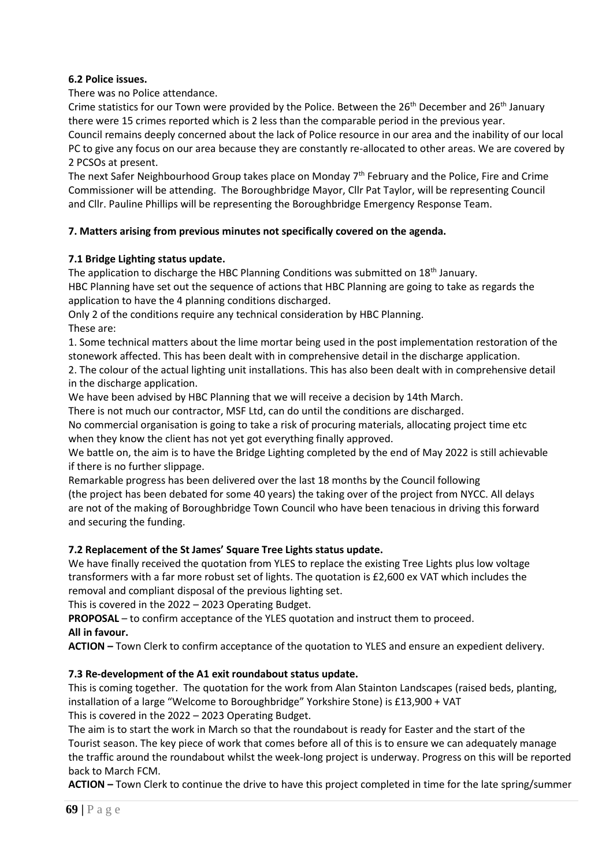# **6.2 Police issues.**

There was no Police attendance.

Crime statistics for our Town were provided by the Police. Between the 26<sup>th</sup> December and 26<sup>th</sup> January there were 15 crimes reported which is 2 less than the comparable period in the previous year.

Council remains deeply concerned about the lack of Police resource in our area and the inability of our local PC to give any focus on our area because they are constantly re-allocated to other areas. We are covered by 2 PCSOs at present.

The next Safer Neighbourhood Group takes place on Monday 7<sup>th</sup> February and the Police, Fire and Crime Commissioner will be attending. The Boroughbridge Mayor, Cllr Pat Taylor, will be representing Council and Cllr. Pauline Phillips will be representing the Boroughbridge Emergency Response Team.

# **7. Matters arising from previous minutes not specifically covered on the agenda.**

# **7.1 Bridge Lighting status update.**

The application to discharge the HBC Planning Conditions was submitted on  $18<sup>th</sup>$  January.

HBC Planning have set out the sequence of actions that HBC Planning are going to take as regards the application to have the 4 planning conditions discharged.

Only 2 of the conditions require any technical consideration by HBC Planning. These are:

1. Some technical matters about the lime mortar being used in the post implementation restoration of the stonework affected. This has been dealt with in comprehensive detail in the discharge application.

2. The colour of the actual lighting unit installations. This has also been dealt with in comprehensive detail in the discharge application.

We have been advised by HBC Planning that we will receive a decision by 14th March.

There is not much our contractor, MSF Ltd, can do until the conditions are discharged.

No commercial organisation is going to take a risk of procuring materials, allocating project time etc when they know the client has not yet got everything finally approved.

We battle on, the aim is to have the Bridge Lighting completed by the end of May 2022 is still achievable if there is no further slippage.

Remarkable progress has been delivered over the last 18 months by the Council following (the project has been debated for some 40 years) the taking over of the project from NYCC. All delays are not of the making of Boroughbridge Town Council who have been tenacious in driving this forward and securing the funding.

# **7.2 Replacement of the St James' Square Tree Lights status update.**

We have finally received the quotation from YLES to replace the existing Tree Lights plus low voltage transformers with a far more robust set of lights. The quotation is £2,600 ex VAT which includes the removal and compliant disposal of the previous lighting set.

This is covered in the 2022 – 2023 Operating Budget.

**PROPOSAL** – to confirm acceptance of the YLES quotation and instruct them to proceed. **All in favour.**

**ACTION –** Town Clerk to confirm acceptance of the quotation to YLES and ensure an expedient delivery.

# **7.3 Re-development of the A1 exit roundabout status update.**

This is coming together. The quotation for the work from Alan Stainton Landscapes (raised beds, planting, installation of a large "Welcome to Boroughbridge" Yorkshire Stone) is £13,900 + VAT This is covered in the 2022 – 2023 Operating Budget.

The aim is to start the work in March so that the roundabout is ready for Easter and the start of the Tourist season. The key piece of work that comes before all of this is to ensure we can adequately manage the traffic around the roundabout whilst the week-long project is underway. Progress on this will be reported back to March FCM.

**ACTION –** Town Clerk to continue the drive to have this project completed in time for the late spring/summer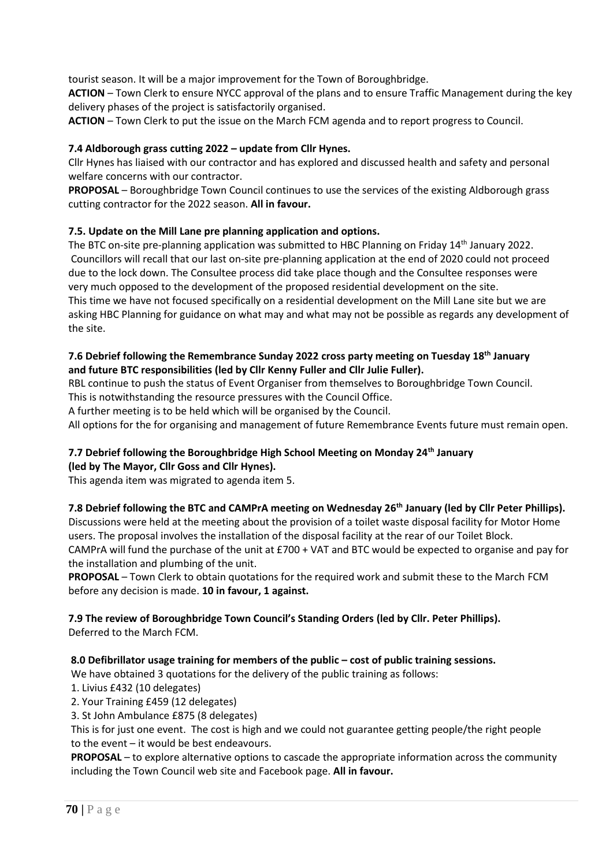tourist season. It will be a major improvement for the Town of Boroughbridge.

**ACTION** – Town Clerk to ensure NYCC approval of the plans and to ensure Traffic Management during the key delivery phases of the project is satisfactorily organised.

**ACTION** – Town Clerk to put the issue on the March FCM agenda and to report progress to Council.

### **7.4 Aldborough grass cutting 2022 – update from Cllr Hynes.**

Cllr Hynes has liaised with our contractor and has explored and discussed health and safety and personal welfare concerns with our contractor.

**PROPOSAL** – Boroughbridge Town Council continues to use the services of the existing Aldborough grass cutting contractor for the 2022 season. **All in favour.**

# **7.5. Update on the Mill Lane pre planning application and options.**

The BTC on-site pre-planning application was submitted to HBC Planning on Friday 14th January 2022. Councillors will recall that our last on-site pre-planning application at the end of 2020 could not proceed due to the lock down. The Consultee process did take place though and the Consultee responses were very much opposed to the development of the proposed residential development on the site. This time we have not focused specifically on a residential development on the Mill Lane site but we are asking HBC Planning for guidance on what may and what may not be possible as regards any development of the site.

# **7.6 Debrief following the Remembrance Sunday 2022 cross party meeting on Tuesday 18th January and future BTC responsibilities (led by Cllr Kenny Fuller and Cllr Julie Fuller).**

RBL continue to push the status of Event Organiser from themselves to Boroughbridge Town Council.

This is notwithstanding the resource pressures with the Council Office. A further meeting is to be held which will be organised by the Council.

All options for the for organising and management of future Remembrance Events future must remain open.

# **7.7 Debrief following the Boroughbridge High School Meeting on Monday 24th January**

#### **(led by The Mayor, Cllr Goss and Cllr Hynes).**

This agenda item was migrated to agenda item 5.

#### **7.8 Debrief following the BTC and CAMPrA meeting on Wednesday 26th January (led by Cllr Peter Phillips).**

Discussions were held at the meeting about the provision of a toilet waste disposal facility for Motor Home users. The proposal involves the installation of the disposal facility at the rear of our Toilet Block. CAMPrA will fund the purchase of the unit at £700 + VAT and BTC would be expected to organise and pay for the installation and plumbing of the unit.

**PROPOSAL** – Town Clerk to obtain quotations for the required work and submit these to the March FCM before any decision is made. **10 in favour, 1 against.**

#### **7.9 The review of Boroughbridge Town Council's Standing Orders (led by Cllr. Peter Phillips).** Deferred to the March FCM.

#### **8.0 Defibrillator usage training for members of the public – cost of public training sessions.**

We have obtained 3 quotations for the delivery of the public training as follows:

1. Livius £432 (10 delegates)

- 2. Your Training £459 (12 delegates)
- 3. St John Ambulance £875 (8 delegates)

 This is for just one event. The cost is high and we could not guarantee getting people/the right people to the event – it would be best endeavours.

 **PROPOSAL** – to explore alternative options to cascade the appropriate information across the community including the Town Council web site and Facebook page. **All in favour.**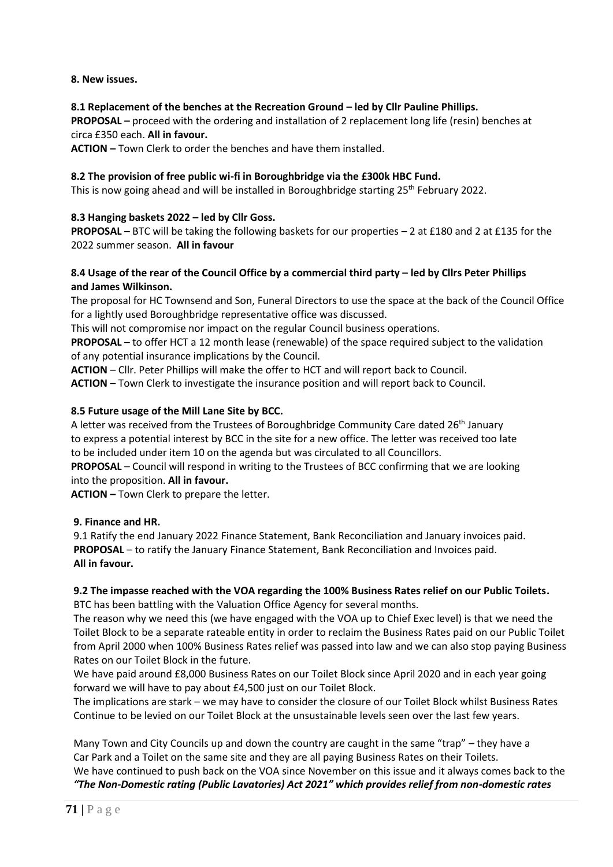# **8. New issues.**

### **8.1 Replacement of the benches at the Recreation Ground – led by Cllr Pauline Phillips.**

 **PROPOSAL –** proceed with the ordering and installation of 2 replacement long life (resin) benches at circa £350 each. **All in favour.**

 **ACTION –** Town Clerk to order the benches and have them installed.

#### **8.2 The provision of free public wi-fi in Boroughbridge via the £300k HBC Fund.**

This is now going ahead and will be installed in Boroughbridge starting  $25<sup>th</sup>$  February 2022.

### **8.3 Hanging baskets 2022 – led by Cllr Goss.**

 **PROPOSAL** – BTC will be taking the following baskets for our properties – 2 at £180 and 2 at £135 for the 2022 summer season. **All in favour**

### **8.4 Usage of the rear of the Council Office by a commercial third party – led by Cllrs Peter Phillips and James Wilkinson.**

The proposal for HC Townsend and Son, Funeral Directors to use the space at the back of the Council Office for a lightly used Boroughbridge representative office was discussed.

This will not compromise nor impact on the regular Council business operations.

 **PROPOSAL** – to offer HCT a 12 month lease (renewable) of the space required subject to the validation of any potential insurance implications by the Council.

**ACTION** – Cllr. Peter Phillips will make the offer to HCT and will report back to Council.

**ACTION** – Town Clerk to investigate the insurance position and will report back to Council.

### **8.5 Future usage of the Mill Lane Site by BCC.**

A letter was received from the Trustees of Boroughbridge Community Care dated 26th January to express a potential interest by BCC in the site for a new office. The letter was received too late to be included under item 10 on the agenda but was circulated to all Councillors.

 **PROPOSAL** – Council will respond in writing to the Trustees of BCC confirming that we are looking into the proposition. **All in favour.**

 **ACTION –** Town Clerk to prepare the letter.

# **9. Finance and HR.**

 9.1 Ratify the end January 2022 Finance Statement, Bank Reconciliation and January invoices paid. **PROPOSAL** – to ratify the January Finance Statement, Bank Reconciliation and Invoices paid. **All in favour.** 

#### **9.2 The impasse reached with the VOA regarding the 100% Business Rates relief on our Public Toilets.** BTC has been battling with the Valuation Office Agency for several months.

 The reason why we need this (we have engaged with the VOA up to Chief Exec level) is that we need the Toilet Block to be a separate rateable entity in order to reclaim the Business Rates paid on our Public Toilet from April 2000 when 100% Business Rates relief was passed into law and we can also stop paying Business Rates on our Toilet Block in the future.

 We have paid around £8,000 Business Rates on our Toilet Block since April 2020 and in each year going forward we will have to pay about £4,500 just on our Toilet Block.

 The implications are stark – we may have to consider the closure of our Toilet Block whilst Business Rates Continue to be levied on our Toilet Block at the unsustainable levels seen over the last few years.

 Many Town and City Councils up and down the country are caught in the same "trap" – they have a Car Park and a Toilet on the same site and they are all paying Business Rates on their Toilets. We have continued to push back on the VOA since November on this issue and it always comes back to the *"The Non-Domestic rating (Public Lavatories) Act 2021" which provides relief from non-domestic rates*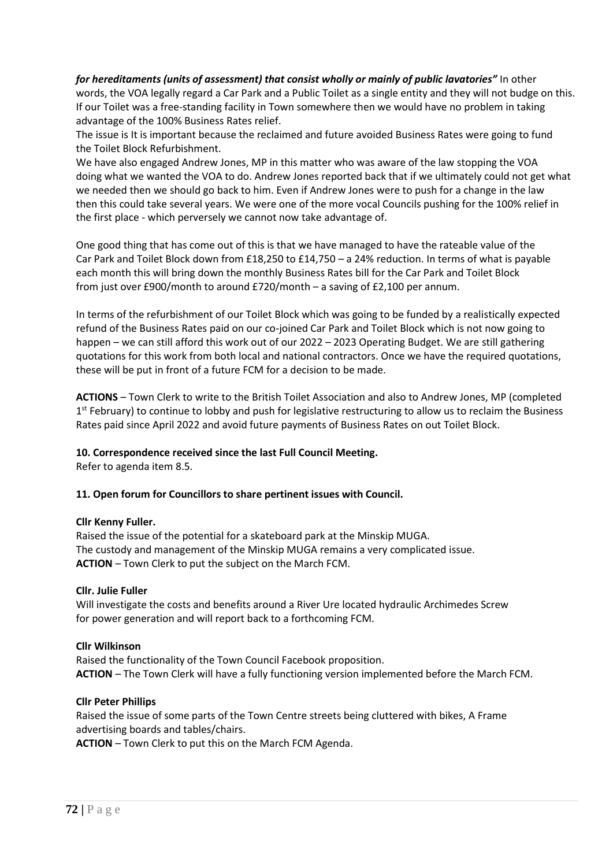*for hereditaments (units of assessment) that consist wholly or mainly of public lavatories"* In other words, the VOA legally regard a Car Park and a Public Toilet as a single entity and they will not budge on this. If our Toilet was a free-standing facility in Town somewhere then we would have no problem in taking advantage of the 100% Business Rates relief.

 The issue is It is important because the reclaimed and future avoided Business Rates were going to fund the Toilet Block Refurbishment.

 We have also engaged Andrew Jones, MP in this matter who was aware of the law stopping the VOA doing what we wanted the VOA to do. Andrew Jones reported back that if we ultimately could not get what we needed then we should go back to him. Even if Andrew Jones were to push for a change in the law then this could take several years. We were one of the more vocal Councils pushing for the 100% relief in the first place - which perversely we cannot now take advantage of.

One good thing that has come out of this is that we have managed to have the rateable value of the Car Park and Toilet Block down from £18,250 to £14,750 – a 24% reduction. In terms of what is payable each month this will bring down the monthly Business Rates bill for the Car Park and Toilet Block from just over £900/month to around £720/month – a saving of £2,100 per annum.

 In terms of the refurbishment of our Toilet Block which was going to be funded by a realistically expected refund of the Business Rates paid on our co-joined Car Park and Toilet Block which is not now going to happen – we can still afford this work out of our 2022 – 2023 Operating Budget. We are still gathering quotations for this work from both local and national contractors. Once we have the required quotations, these will be put in front of a future FCM for a decision to be made.

 **ACTIONS** – Town Clerk to write to the British Toilet Association and also to Andrew Jones, MP (completed 1<sup>st</sup> February) to continue to lobby and push for legislative restructuring to allow us to reclaim the Business Rates paid since April 2022 and avoid future payments of Business Rates on out Toilet Block.

# **10. Correspondence received since the last Full Council Meeting.**

Refer to agenda item 8.5.

#### **11. Open forum for Councillors to share pertinent issues with Council.**

#### **Cllr Kenny Fuller.**

Raised the issue of the potential for a skateboard park at the Minskip MUGA. The custody and management of the Minskip MUGA remains a very complicated issue. **ACTION** – Town Clerk to put the subject on the March FCM.

#### **Cllr. Julie Fuller**

 Will investigate the costs and benefits around a River Ure located hydraulic Archimedes Screw for power generation and will report back to a forthcoming FCM.

#### **Cllr Wilkinson**

 Raised the functionality of the Town Council Facebook proposition. **ACTION** – The Town Clerk will have a fully functioning version implemented before the March FCM.

#### **Cllr Peter Phillips**

 Raised the issue of some parts of the Town Centre streets being cluttered with bikes, A Frame advertising boards and tables/chairs.

**ACTION** – Town Clerk to put this on the March FCM Agenda.